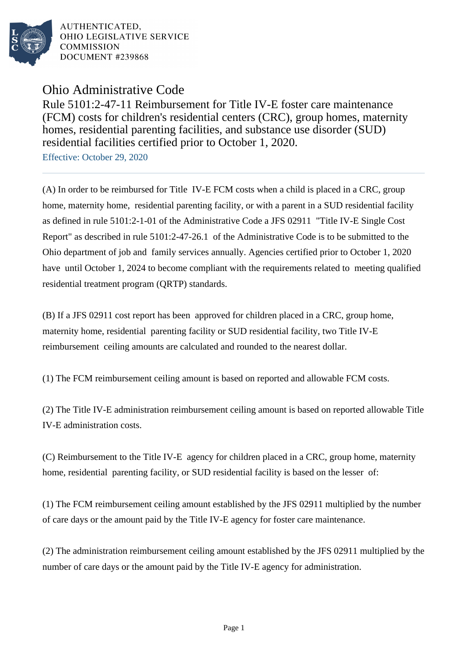

AUTHENTICATED. OHIO LEGISLATIVE SERVICE **COMMISSION** DOCUMENT #239868

Ohio Administrative Code

Rule 5101:2-47-11 Reimbursement for Title IV-E foster care maintenance (FCM) costs for children's residential centers (CRC), group homes, maternity homes, residential parenting facilities, and substance use disorder (SUD) residential facilities certified prior to October 1, 2020.

Effective: October 29, 2020

(A) In order to be reimbursed for Title IV-E FCM costs when a child is placed in a CRC, group home, maternity home, residential parenting facility, or with a parent in a SUD residential facility as defined in rule 5101:2-1-01 of the Administrative Code a JFS 02911 "Title IV-E Single Cost Report" as described in rule 5101:2-47-26.1 of the Administrative Code is to be submitted to the Ohio department of job and family services annually. Agencies certified prior to October 1, 2020 have until October 1, 2024 to become compliant with the requirements related to meeting qualified residential treatment program (QRTP) standards.

(B) If a JFS 02911 cost report has been approved for children placed in a CRC, group home, maternity home, residential parenting facility or SUD residential facility, two Title IV-E reimbursement ceiling amounts are calculated and rounded to the nearest dollar.

(1) The FCM reimbursement ceiling amount is based on reported and allowable FCM costs.

(2) The Title IV-E administration reimbursement ceiling amount is based on reported allowable Title IV-E administration costs.

(C) Reimbursement to the Title IV-E agency for children placed in a CRC, group home, maternity home, residential parenting facility, or SUD residential facility is based on the lesser of:

(1) The FCM reimbursement ceiling amount established by the JFS 02911 multiplied by the number of care days or the amount paid by the Title IV-E agency for foster care maintenance.

(2) The administration reimbursement ceiling amount established by the JFS 02911 multiplied by the number of care days or the amount paid by the Title IV-E agency for administration.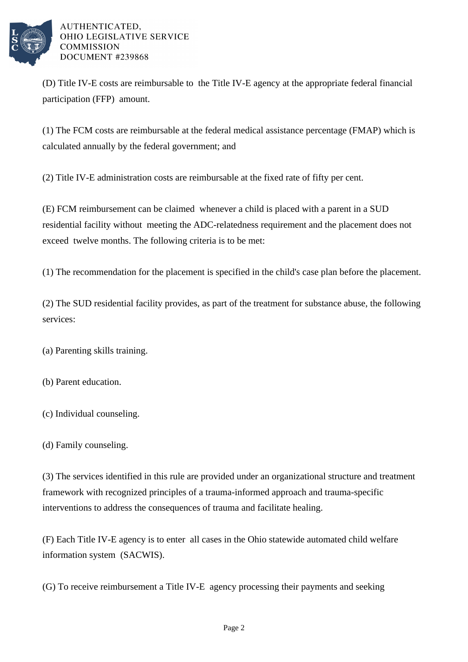

AUTHENTICATED. OHIO LEGISLATIVE SERVICE **COMMISSION** DOCUMENT #239868

(D) Title IV-E costs are reimbursable to the Title IV-E agency at the appropriate federal financial participation (FFP) amount.

(1) The FCM costs are reimbursable at the federal medical assistance percentage (FMAP) which is calculated annually by the federal government; and

(2) Title IV-E administration costs are reimbursable at the fixed rate of fifty per cent.

(E) FCM reimbursement can be claimed whenever a child is placed with a parent in a SUD residential facility without meeting the ADC-relatedness requirement and the placement does not exceed twelve months. The following criteria is to be met:

(1) The recommendation for the placement is specified in the child's case plan before the placement.

(2) The SUD residential facility provides, as part of the treatment for substance abuse, the following services:

(a) Parenting skills training.

(b) Parent education.

(c) Individual counseling.

(d) Family counseling.

(3) The services identified in this rule are provided under an organizational structure and treatment framework with recognized principles of a trauma-informed approach and trauma-specific interventions to address the consequences of trauma and facilitate healing.

(F) Each Title IV-E agency is to enter all cases in the Ohio statewide automated child welfare information system (SACWIS).

(G) To receive reimbursement a Title IV-E agency processing their payments and seeking